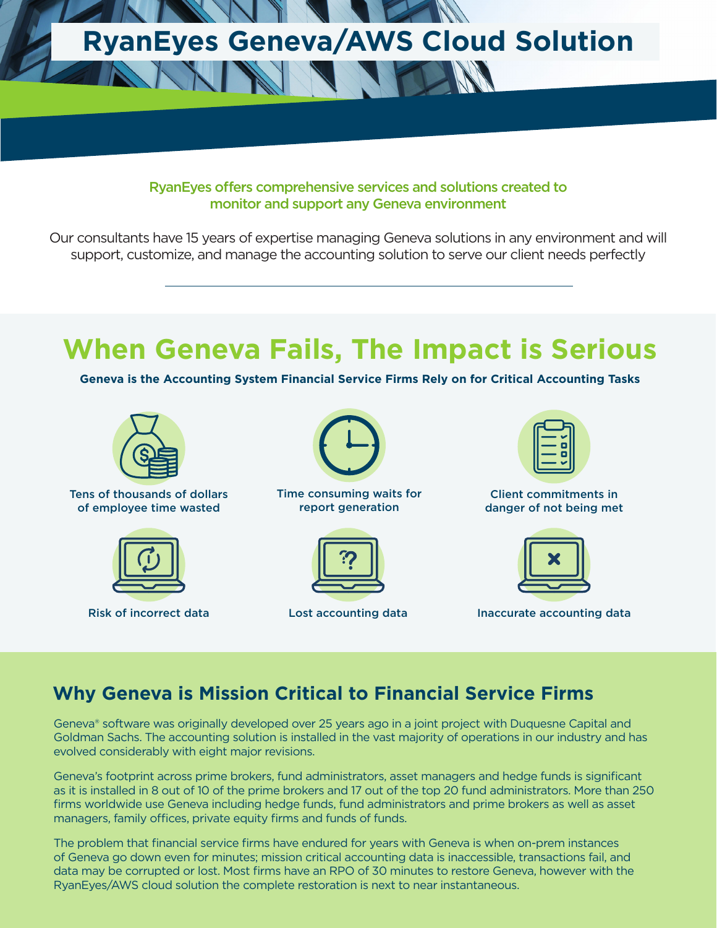

#### RyanEyes offers comprehensive services and solutions created to monitor and support any Geneva environment

Our consultants have 15 years of expertise managing Geneva solutions in any environment and will support, customize, and manage the accounting solution to serve our client needs perfectly

# **When Geneva Fails, The Impact is Serious**

**Geneva is the Accounting System Financial Service Firms Rely on for Critical Accounting Tasks**



Tens of thousands of dollars of employee time wasted



Risk of incorrect data



Time consuming waits for report generation





Client commitments in danger of not being met



Lost accounting data Inaccurate accounting data

### **Why Geneva is Mission Critical to Financial Service Firms**

Geneva® software was originally developed over 25 years ago in a joint project with Duquesne Capital and Goldman Sachs. The accounting solution is installed in the vast majority of operations in our industry and has evolved considerably with eight major revisions.

Geneva's footprint across prime brokers, fund administrators, asset managers and hedge funds is significant as it is installed in 8 out of 10 of the prime brokers and 17 out of the top 20 fund administrators. More than 250 firms worldwide use Geneva including hedge funds, fund administrators and prime brokers as well as asset managers, family offices, private equity firms and funds of funds.

The problem that financial service firms have endured for years with Geneva is when on-prem instances of Geneva go down even for minutes; mission critical accounting data is inaccessible, transactions fail, and data may be corrupted or lost. Most firms have an RPO of 30 minutes to restore Geneva, however with the RyanEyes/AWS cloud solution the complete restoration is next to near instantaneous.